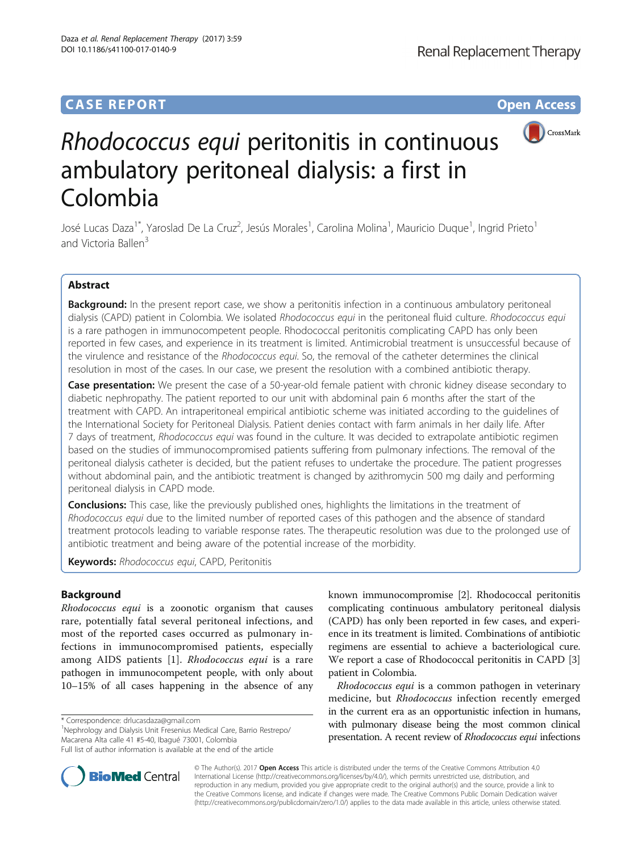## **CASE REPORT CASE REPORT CASE REPORT**



# Rhodococcus equi peritonitis in continuous ambulatory peritoneal dialysis: a first in Colombia

José Lucas Daza<sup>1\*</sup>, Yaroslad De La Cruz<sup>2</sup>, Jesús Morales<sup>1</sup>, Carolina Molina<sup>1</sup>, Mauricio Duque<sup>1</sup>, Ingrid Prieto<sup>1</sup> and Victoria Ballen<sup>3</sup>

## Abstract

Background: In the present report case, we show a peritonitis infection in a continuous ambulatory peritoneal dialysis (CAPD) patient in Colombia. We isolated Rhodococcus equi in the peritoneal fluid culture. Rhodococcus equi is a rare pathogen in immunocompetent people. Rhodococcal peritonitis complicating CAPD has only been reported in few cases, and experience in its treatment is limited. Antimicrobial treatment is unsuccessful because of the virulence and resistance of the Rhodococcus equi. So, the removal of the catheter determines the clinical resolution in most of the cases. In our case, we present the resolution with a combined antibiotic therapy.

Case presentation: We present the case of a 50-year-old female patient with chronic kidney disease secondary to diabetic nephropathy. The patient reported to our unit with abdominal pain 6 months after the start of the treatment with CAPD. An intraperitoneal empirical antibiotic scheme was initiated according to the guidelines of the International Society for Peritoneal Dialysis. Patient denies contact with farm animals in her daily life. After 7 days of treatment, Rhodococcus equi was found in the culture. It was decided to extrapolate antibiotic regimen based on the studies of immunocompromised patients suffering from pulmonary infections. The removal of the peritoneal dialysis catheter is decided, but the patient refuses to undertake the procedure. The patient progresses without abdominal pain, and the antibiotic treatment is changed by azithromycin 500 mg daily and performing peritoneal dialysis in CAPD mode.

**Conclusions:** This case, like the previously published ones, highlights the limitations in the treatment of Rhodococcus equi due to the limited number of reported cases of this pathogen and the absence of standard treatment protocols leading to variable response rates. The therapeutic resolution was due to the prolonged use of antibiotic treatment and being aware of the potential increase of the morbidity.

Keywords: Rhodococcus equi, CAPD, Peritonitis

## Background

Rhodococcus equi is a zoonotic organism that causes rare, potentially fatal several peritoneal infections, and most of the reported cases occurred as pulmonary infections in immunocompromised patients, especially among AIDS patients [[1\]](#page-3-0). Rhodococcus equi is a rare pathogen in immunocompetent people, with only about 10–15% of all cases happening in the absence of any

\* Correspondence: [drlucasdaza@gmail.com](mailto:drlucasdaza@gmail.com) <sup>1</sup>

Nephrology and Dialysis Unit Fresenius Medical Care, Barrio Restrepo/ Macarena Alta calle 41 #5-40, Ibagué 73001, Colombia



Rhodococcus equi is a common pathogen in veterinary medicine, but Rhodococcus infection recently emerged in the current era as an opportunistic infection in humans, with pulmonary disease being the most common clinical presentation. A recent review of Rhodococcus equi infections



© The Author(s). 2017 **Open Access** This article is distributed under the terms of the Creative Commons Attribution 4.0 International License [\(http://creativecommons.org/licenses/by/4.0/](http://creativecommons.org/licenses/by/4.0/)), which permits unrestricted use, distribution, and reproduction in any medium, provided you give appropriate credit to the original author(s) and the source, provide a link to the Creative Commons license, and indicate if changes were made. The Creative Commons Public Domain Dedication waiver [\(http://creativecommons.org/publicdomain/zero/1.0/](http://creativecommons.org/publicdomain/zero/1.0/)) applies to the data made available in this article, unless otherwise stated.

Full list of author information is available at the end of the article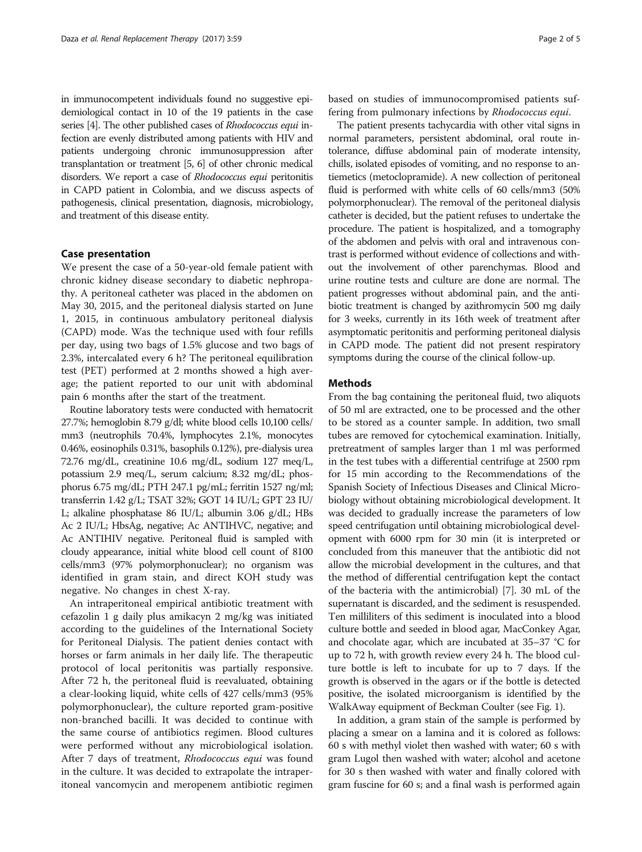in immunocompetent individuals found no suggestive epidemiological contact in 10 of the 19 patients in the case series [\[4](#page-3-0)]. The other published cases of Rhodococcus equi infection are evenly distributed among patients with HIV and patients undergoing chronic immunosuppression after transplantation or treatment [\[5, 6\]](#page-3-0) of other chronic medical disorders. We report a case of Rhodococcus equi peritonitis in CAPD patient in Colombia, and we discuss aspects of pathogenesis, clinical presentation, diagnosis, microbiology, and treatment of this disease entity.

#### Case presentation

We present the case of a 50-year-old female patient with chronic kidney disease secondary to diabetic nephropathy. A peritoneal catheter was placed in the abdomen on May 30, 2015, and the peritoneal dialysis started on June 1, 2015, in continuous ambulatory peritoneal dialysis (CAPD) mode. Was the technique used with four refills per day, using two bags of 1.5% glucose and two bags of 2.3%, intercalated every 6 h? The peritoneal equilibration test (PET) performed at 2 months showed a high average; the patient reported to our unit with abdominal pain 6 months after the start of the treatment.

Routine laboratory tests were conducted with hematocrit 27.7%; hemoglobin 8.79 g/dl; white blood cells 10,100 cells/ mm3 (neutrophils 70.4%, lymphocytes 2.1%, monocytes 0.46%, eosinophils 0.31%, basophils 0.12%), pre-dialysis urea 72.76 mg/dL, creatinine 10.6 mg/dL, sodium 127 meq/L, potassium 2.9 meq/L, serum calcium; 8.32 mg/dL; phosphorus 6.75 mg/dL; PTH 247.1 pg/mL; ferritin 1527 ng/ml; transferrin 1.42 g/L; TSAT 32%; GOT 14 IU/L; GPT 23 IU/ L; alkaline phosphatase 86 IU/L; albumin 3.06 g/dL; HBs Ac 2 IU/L; HbsAg, negative; Ac ANTIHVC, negative; and Ac ANTIHIV negative. Peritoneal fluid is sampled with cloudy appearance, initial white blood cell count of 8100 cells/mm3 (97% polymorphonuclear); no organism was identified in gram stain, and direct KOH study was negative. No changes in chest X-ray.

An intraperitoneal empirical antibiotic treatment with cefazolin 1 g daily plus amikacyn 2 mg/kg was initiated according to the guidelines of the International Society for Peritoneal Dialysis. The patient denies contact with horses or farm animals in her daily life. The therapeutic protocol of local peritonitis was partially responsive. After 72 h, the peritoneal fluid is reevaluated, obtaining a clear-looking liquid, white cells of 427 cells/mm3 (95% polymorphonuclear), the culture reported gram-positive non-branched bacilli. It was decided to continue with the same course of antibiotics regimen. Blood cultures were performed without any microbiological isolation. After 7 days of treatment, *Rhodococcus equi* was found in the culture. It was decided to extrapolate the intraperitoneal vancomycin and meropenem antibiotic regimen

based on studies of immunocompromised patients suffering from pulmonary infections by Rhodococcus equi.

The patient presents tachycardia with other vital signs in normal parameters, persistent abdominal, oral route intolerance, diffuse abdominal pain of moderate intensity, chills, isolated episodes of vomiting, and no response to antiemetics (metoclopramide). A new collection of peritoneal fluid is performed with white cells of 60 cells/mm3 (50% polymorphonuclear). The removal of the peritoneal dialysis catheter is decided, but the patient refuses to undertake the procedure. The patient is hospitalized, and a tomography of the abdomen and pelvis with oral and intravenous contrast is performed without evidence of collections and without the involvement of other parenchymas. Blood and urine routine tests and culture are done are normal. The patient progresses without abdominal pain, and the antibiotic treatment is changed by azithromycin 500 mg daily for 3 weeks, currently in its 16th week of treatment after asymptomatic peritonitis and performing peritoneal dialysis in CAPD mode. The patient did not present respiratory symptoms during the course of the clinical follow-up.

#### Methods

From the bag containing the peritoneal fluid, two aliquots of 50 ml are extracted, one to be processed and the other to be stored as a counter sample. In addition, two small tubes are removed for cytochemical examination. Initially, pretreatment of samples larger than 1 ml was performed in the test tubes with a differential centrifuge at 2500 rpm for 15 min according to the Recommendations of the Spanish Society of Infectious Diseases and Clinical Microbiology without obtaining microbiological development. It was decided to gradually increase the parameters of low speed centrifugation until obtaining microbiological development with 6000 rpm for 30 min (it is interpreted or concluded from this maneuver that the antibiotic did not allow the microbial development in the cultures, and that the method of differential centrifugation kept the contact of the bacteria with the antimicrobial) [\[7](#page-3-0)]. 30 mL of the supernatant is discarded, and the sediment is resuspended. Ten milliliters of this sediment is inoculated into a blood culture bottle and seeded in blood agar, MacConkey Agar, and chocolate agar, which are incubated at 35–37 °C for up to 72 h, with growth review every 24 h. The blood culture bottle is left to incubate for up to 7 days. If the growth is observed in the agars or if the bottle is detected positive, the isolated microorganism is identified by the WalkAway equipment of Beckman Coulter (see Fig. [1](#page-2-0)).

In addition, a gram stain of the sample is performed by placing a smear on a lamina and it is colored as follows: 60 s with methyl violet then washed with water; 60 s with gram Lugol then washed with water; alcohol and acetone for 30 s then washed with water and finally colored with gram fuscine for 60 s; and a final wash is performed again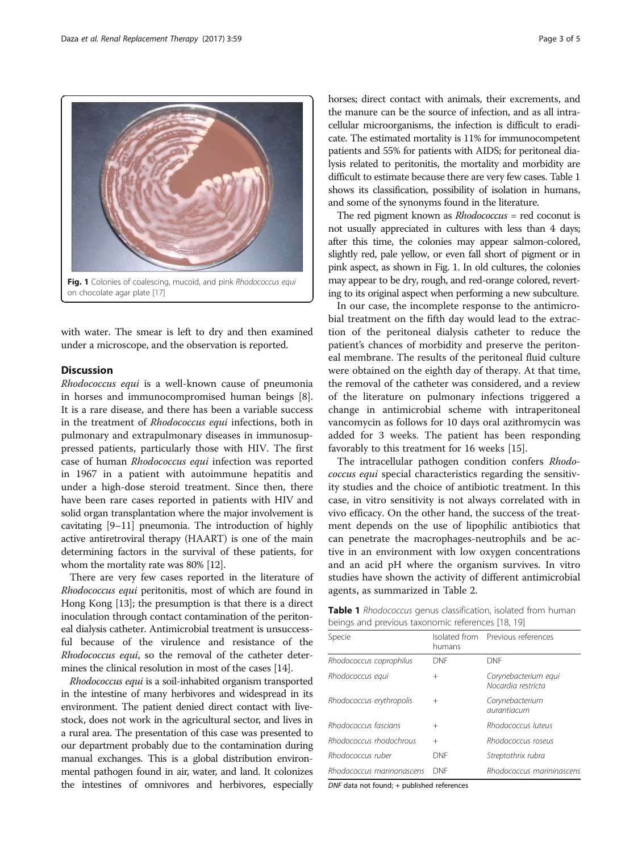<span id="page-2-0"></span>

with water. The smear is left to dry and then examined under a microscope, and the observation is reported.

### **Discussion**

Rhodococcus equi is a well-known cause of pneumonia in horses and immunocompromised human beings [\[8](#page-4-0)]. It is a rare disease, and there has been a variable success in the treatment of Rhodococcus equi infections, both in pulmonary and extrapulmonary diseases in immunosuppressed patients, particularly those with HIV. The first case of human Rhodococcus equi infection was reported in 1967 in a patient with autoimmune hepatitis and under a high-dose steroid treatment. Since then, there have been rare cases reported in patients with HIV and solid organ transplantation where the major involvement is cavitating [[9](#page-4-0)–[11\]](#page-4-0) pneumonia. The introduction of highly active antiretroviral therapy (HAART) is one of the main determining factors in the survival of these patients, for whom the mortality rate was 80% [[12](#page-4-0)].

There are very few cases reported in the literature of Rhodococcus equi peritonitis, most of which are found in Hong Kong [\[13\]](#page-4-0); the presumption is that there is a direct inoculation through contact contamination of the peritoneal dialysis catheter. Antimicrobial treatment is unsuccessful because of the virulence and resistance of the Rhodococcus equi, so the removal of the catheter determines the clinical resolution in most of the cases [\[14\]](#page-4-0).

Rhodococcus equi is a soil-inhabited organism transported in the intestine of many herbivores and widespread in its environment. The patient denied direct contact with livestock, does not work in the agricultural sector, and lives in a rural area. The presentation of this case was presented to our department probably due to the contamination during manual exchanges. This is a global distribution environmental pathogen found in air, water, and land. It colonizes the intestines of omnivores and herbivores, especially horses; direct contact with animals, their excrements, and the manure can be the source of infection, and as all intracellular microorganisms, the infection is difficult to eradicate. The estimated mortality is 11% for immunocompetent patients and 55% for patients with AIDS; for peritoneal dialysis related to peritonitis, the mortality and morbidity are difficult to estimate because there are very few cases. Table 1 shows its classification, possibility of isolation in humans, and some of the synonyms found in the literature.

The red pigment known as *Rhodococcus* = red coconut is not usually appreciated in cultures with less than 4 days; after this time, the colonies may appear salmon-colored, slightly red, pale yellow, or even fall short of pigment or in pink aspect, as shown in Fig. 1. In old cultures, the colonies may appear to be dry, rough, and red-orange colored, reverting to its original aspect when performing a new subculture.

In our case, the incomplete response to the antimicrobial treatment on the fifth day would lead to the extraction of the peritoneal dialysis catheter to reduce the patient's chances of morbidity and preserve the peritoneal membrane. The results of the peritoneal fluid culture were obtained on the eighth day of therapy. At that time, the removal of the catheter was considered, and a review of the literature on pulmonary infections triggered a change in antimicrobial scheme with intraperitoneal vancomycin as follows for 10 days oral azithromycin was added for 3 weeks. The patient has been responding favorably to this treatment for 16 weeks [\[15](#page-4-0)].

The intracellular pathogen condition confers Rhodococcus equi special characteristics regarding the sensitivity studies and the choice of antibiotic treatment. In this case, in vitro sensitivity is not always correlated with in vivo efficacy. On the other hand, the success of the treatment depends on the use of lipophilic antibiotics that can penetrate the macrophages-neutrophils and be active in an environment with low oxygen concentrations and an acid pH where the organism survives. In vitro studies have shown the activity of different antimicrobial agents, as summarized in Table [2.](#page-3-0)

|  |  | <b>Table 1</b> Rhodococcus genus classification, isolated from human |  |  |
|--|--|----------------------------------------------------------------------|--|--|
|  |  | beings and previous taxonomic references [18, 19]                    |  |  |

| Specie                    | humans     | Isolated from Previous references          |
|---------------------------|------------|--------------------------------------------|
| Rhodococcus coprophilus   | <b>DNF</b> | <b>DNF</b>                                 |
| Rhodococcus equi          | $^{+}$     | Corynebacterium equi<br>Nocardia restricta |
| Rhodococcus erythropolis  | $^{+}$     | Corynebacterium<br>aurantiacum             |
| Rhodococcus fascians      | $^{+}$     | Rhodococcus Iuteus                         |
| Rhodococcus rhodochrous   | $^{+}$     | Rhodococcus roseus                         |
| Rhodococcus ruber         | <b>DNF</b> | Streptothrix rubra                         |
| Rhodococcus marinonascens | <b>DNF</b> | Rhodococcus marininascens                  |

DNF data not found; + published references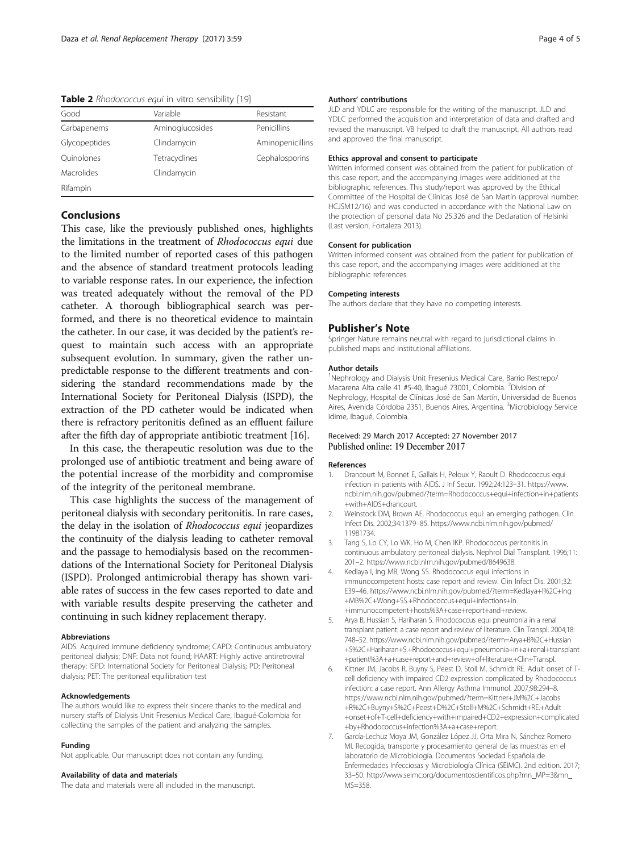<span id="page-3-0"></span>Table 2 Rhodococcus equi in vitro sensibility [\[19\]](#page-4-0)

| Good              | Variable        | Resistant        |
|-------------------|-----------------|------------------|
| Carbapenems       | Aminoglucosides | Penicillins      |
| Glycopeptides     | Clindamycin     | Aminopenicillins |
| Ouinolones        | Tetracyclines   | Cephalosporins   |
| <b>Macrolides</b> | Clindamycin     |                  |
| Rifampin          |                 |                  |

#### Conclusions

This case, like the previously published ones, highlights the limitations in the treatment of Rhodococcus equi due to the limited number of reported cases of this pathogen and the absence of standard treatment protocols leading to variable response rates. In our experience, the infection was treated adequately without the removal of the PD catheter. A thorough bibliographical search was performed, and there is no theoretical evidence to maintain the catheter. In our case, it was decided by the patient's request to maintain such access with an appropriate subsequent evolution. In summary, given the rather unpredictable response to the different treatments and considering the standard recommendations made by the International Society for Peritoneal Dialysis (ISPD), the extraction of the PD catheter would be indicated when there is refractory peritonitis defined as an effluent failure after the fifth day of appropriate antibiotic treatment [\[16\]](#page-4-0).

In this case, the therapeutic resolution was due to the prolonged use of antibiotic treatment and being aware of the potential increase of the morbidity and compromise of the integrity of the peritoneal membrane.

This case highlights the success of the management of peritoneal dialysis with secondary peritonitis. In rare cases, the delay in the isolation of Rhodococcus equi jeopardizes the continuity of the dialysis leading to catheter removal and the passage to hemodialysis based on the recommendations of the International Society for Peritoneal Dialysis (ISPD). Prolonged antimicrobial therapy has shown variable rates of success in the few cases reported to date and with variable results despite preserving the catheter and continuing in such kidney replacement therapy.

#### Abbreviations

AIDS: Acquired immune deficiency syndrome; CAPD: Continuous ambulatory peritoneal dialysis; DNF: Data not found; HAART: Highly active antiretroviral therapy; ISPD: International Society for Peritoneal Dialysis; PD: Peritoneal dialysis; PET: The peritoneal equilibration test

#### Acknowledgements

The authors would like to express their sincere thanks to the medical and nursery staffs of Dialysis Unit Fresenius Medical Care, Ibagué-Colombia for collecting the samples of the patient and analyzing the samples.

#### Funding

Not applicable. Our manuscript does not contain any funding.

#### Availability of data and materials

The data and materials were all included in the manuscript.

#### Authors' contributions

JLD and YDLC are responsible for the writing of the manuscript. JLD and YDLC performed the acquisition and interpretation of data and drafted and revised the manuscript. VB helped to draft the manuscript. All authors read and approved the final manuscript.

#### Ethics approval and consent to participate

Written informed consent was obtained from the patient for publication of this case report, and the accompanying images were additioned at the bibliographic references. This study/report was approved by the Ethical Committee of the Hospital de Clínicas José de San Martín (approval number: HCJSM12/16) and was conducted in accordance with the National Law on the protection of personal data No 25.326 and the Declaration of Helsinki (Last version, Fortaleza 2013).

#### Consent for publication

Written informed consent was obtained from the patient for publication of this case report, and the accompanying images were additioned at the bibliographic references.

#### Competing interests

The authors declare that they have no competing interests.

#### Publisher's Note

Springer Nature remains neutral with regard to jurisdictional claims in published maps and institutional affiliations.

#### Author details

<sup>1</sup>Nephrology and Dialysis Unit Fresenius Medical Care, Barrio Restrepo/ Macarena Alta calle 41 #5-40, Ibagué 73001, Colombia. <sup>2</sup>Division of Nephrology, Hospital de Clínicas José de San Martín, Universidad de Buenos Aires, Avenida Córdoba 2351, Buenos Aires, Argentina. <sup>3</sup>Microbiology Service Idime, Ibagué, Colombia.

#### Received: 29 March 2017 Accepted: 27 November 2017 Published online: 19 December 2017

#### References

- 1. Drancourt M, Bonnet E, Gallais H, Peloux Y, Raoult D. Rhodococcus equi infection in patients with AIDS. J Inf Secur. 1992;24:123–31. [https://www.](https://www.ncbi.nlm.nih.gov/pubmed/?term=Rhodococcus+equi+infection+in+patients+with+AIDS+drancourt) [ncbi.nlm.nih.gov/pubmed/?term=Rhodococcus+equi+infection+in+patients](https://www.ncbi.nlm.nih.gov/pubmed/?term=Rhodococcus+equi+infection+in+patients+with+AIDS+drancourt) [+with+AIDS+drancourt](https://www.ncbi.nlm.nih.gov/pubmed/?term=Rhodococcus+equi+infection+in+patients+with+AIDS+drancourt).
- 2. Weinstock DM, Brown AE. Rhodococcus equi: an emerging pathogen. Clin Infect Dis. 2002;34:1379–85. [https://www.ncbi.nlm.nih.gov/pubmed/](https://www.ncbi.nlm.nih.gov/pubmed/11981734) [11981734](https://www.ncbi.nlm.nih.gov/pubmed/11981734).
- 3. Tang S, Lo CY, Lo WK, Ho M, Chen IKP. Rhodococcus peritonitis in continuous ambulatory peritoneal dialysis. Nephrol Dial Transplant. 1996;11: 201–2.<https://www.ncbi.nlm.nih.gov/pubmed/8649638>.
- 4. Kedlaya I, Ing MB, Wong SS. Rhodococcus equi infections in immunocompetent hosts: case report and review. Clin Infect Dis. 2001;32: E39–46. [https://www.ncbi.nlm.nih.gov/pubmed/?term=Kedlaya+I%2C+Ing](https://www.ncbi.nlm.nih.gov/pubmed/?term=Kedlaya+I%2C+Ing+MB%2C+Wong+SS.+Rhodococcus+equi+infections+in+immunocompetent+hosts%3A+case+report+and+review) [+MB%2C+Wong+SS.+Rhodococcus+equi+infections+in](https://www.ncbi.nlm.nih.gov/pubmed/?term=Kedlaya+I%2C+Ing+MB%2C+Wong+SS.+Rhodococcus+equi+infections+in+immunocompetent+hosts%3A+case+report+and+review) [+immunocompetent+hosts%3A+case+report+and+review.](https://www.ncbi.nlm.nih.gov/pubmed/?term=Kedlaya+I%2C+Ing+MB%2C+Wong+SS.+Rhodococcus+equi+infections+in+immunocompetent+hosts%3A+case+report+and+review)
- 5. Arya B, Hussian S, Hariharan S. Rhodococcus equi pneumonia in a renal transplant patient: a case report and review of literature. Clin Transpl. 2004;18: 748–52. [https://www.ncbi.nlm.nih.gov/pubmed/?term=Arya+B%2C+Hussian](https://www.ncbi.nlm.nih.gov/pubmed/?term=Arya+B%2C+Hussian+S%2C+Hariharan+S.+Rhodococcus+equi+pneumonia+in+a+renal+transplant+patient%3A+a+case+report+and+review+of+literature.+Clin+Transpl) [+S%2C+Hariharan+S.+Rhodococcus+equi+pneumonia+in+a+renal+transplant](https://www.ncbi.nlm.nih.gov/pubmed/?term=Arya+B%2C+Hussian+S%2C+Hariharan+S.+Rhodococcus+equi+pneumonia+in+a+renal+transplant+patient%3A+a+case+report+and+review+of+literature.+Clin+Transpl) [+patient%3A+a+case+report+and+review+of+literature.+Clin+Transpl](https://www.ncbi.nlm.nih.gov/pubmed/?term=Arya+B%2C+Hussian+S%2C+Hariharan+S.+Rhodococcus+equi+pneumonia+in+a+renal+transplant+patient%3A+a+case+report+and+review+of+literature.+Clin+Transpl).
- 6. Kittner JM, Jacobs R, Buyny S, Peest D, Stoll M, Schmidt RE. Adult onset of Tcell deficiency with impaired CD2 expression complicated by Rhodococcus infection: a case report. Ann Allergy Asthma Immunol. 2007;98:294–8. [https://www.ncbi.nlm.nih.gov/pubmed/?term=Kittner+JM%2C+Jacobs](https://www.ncbi.nlm.nih.gov/pubmed/?term=Kittner+JM%2C+Jacobs+R%2C+Buyny+S%2C+Peest+D%2C+Stoll+M%2C+Schmidt+RE.+Adult+onset+of+T-cell+deficiency+with+impaired+CD2+expression+complicated+by+Rhodococcus+infection%3A+a+case+report) [+R%2C+Buyny+S%2C+Peest+D%2C+Stoll+M%2C+Schmidt+RE.+Adult](https://www.ncbi.nlm.nih.gov/pubmed/?term=Kittner+JM%2C+Jacobs+R%2C+Buyny+S%2C+Peest+D%2C+Stoll+M%2C+Schmidt+RE.+Adult+onset+of+T-cell+deficiency+with+impaired+CD2+expression+complicated+by+Rhodococcus+infection%3A+a+case+report) [+onset+of+T-cell+deficiency+with+impaired+CD2+expression+complicated](https://www.ncbi.nlm.nih.gov/pubmed/?term=Kittner+JM%2C+Jacobs+R%2C+Buyny+S%2C+Peest+D%2C+Stoll+M%2C+Schmidt+RE.+Adult+onset+of+T-cell+deficiency+with+impaired+CD2+expression+complicated+by+Rhodococcus+infection%3A+a+case+report) [+by+Rhodococcus+infection%3A+a+case+report.](https://www.ncbi.nlm.nih.gov/pubmed/?term=Kittner+JM%2C+Jacobs+R%2C+Buyny+S%2C+Peest+D%2C+Stoll+M%2C+Schmidt+RE.+Adult+onset+of+T-cell+deficiency+with+impaired+CD2+expression+complicated+by+Rhodococcus+infection%3A+a+case+report)
- 7. García-Lechuz Moya JM, González López JJ, Orta Mira N, Sánchez Romero MI. Recogida, transporte y procesamiento general de las muestras en el laboratorio de Microbiología. Documentos Sociedad Española de Enfermedades Infecciosas y Microbiología Clínica (SEIMC). 2nd edition. 2017; 33–50. [http://www.seimc.org/documentoscientificos.php?mn\\_MP=3&mn\\_](http://www.seimc.org/documentoscientificos.php?mn_MP=3&mn_MS=358) [MS=358.](http://www.seimc.org/documentoscientificos.php?mn_MP=3&mn_MS=358)